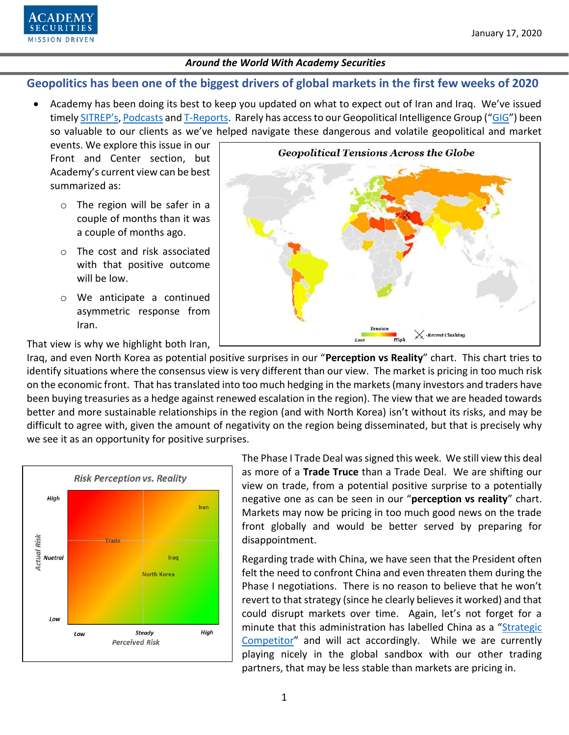

# **Geopolitics has been one of the biggest drivers of global markets in the first few weeks of 2020**

• Academy has been doing its best to keep you updated on what to expect out of Iran and Iraq. We've issued timely [SITREP's](https://www.academysecurities.com/geopolitical/insights/)[, Podcasts](https://www.academysecurities.com/geopolitical/geopolitical-podcasts/) an[d T-Reports](https://www.academysecurities.com/macro-strategy-insights/). Rarely has access to our Geopolitical Intelligence Group ("[GIG](https://www.academysecurities.com/geopolitical/geopolitical-intelligence-group/)") been so valuable to our clients as we've helped navigate these dangerous and volatile geopolitical and market

events. We explore this issue in our Front and Center section, but Academy's current view can be best summarized as:

- o The region will be safer in a couple of months than it was a couple of months ago.
- o The cost and risk associated with that positive outcome will be low.
- o We anticipate a continued asymmetric response from Iran.

**Geopolitical Tensions Across the Globe**  $\chi$  -Recent Clashing High Low

That view is why we highlight both Iran,

Iraq, and even North Korea as potential positive surprises in our "**Perception vs Reality**" chart. This chart tries to identify situations where the consensus view is very different than our view. The market is pricing in too much risk on the economic front. That has translated into too much hedging in the markets (many investors and traders have been buying treasuries as a hedge against renewed escalation in the region). The view that we are headed towards better and more sustainable relationships in the region (and with North Korea) isn't without its risks, and may be difficult to agree with, given the amount of negativity on the region being disseminated, but that is precisely why we see it as an opportunity for positive surprises.



The Phase I Trade Deal was signed this week. We still view this deal as more of a **Trade Truce** than a Trade Deal. We are shifting our view on trade, from a potential positive surprise to a potentially negative one as can be seen in our "**perception vs reality**" chart. Markets may now be pricing in too much good news on the trade front globally and would be better served by preparing for disappointment.

Regarding trade with China, we have seen that the President often felt the need to confront China and even threaten them during the Phase I negotiations. There is no reason to believe that he won't revert to that strategy (since he clearly believes it worked) and that could disrupt markets over time. Again, let's not forget for a minute that this administration has labelled China as a "Strategic [Competitor](https://www.academysecurities.com/wordpress/wp-content/uploads/2019/12/A-D.I.M.E.-Framework-for-China-Trade-Strategic-Competition.pdf)" and will act accordingly. While we are currently playing nicely in the global sandbox with our other trading partners, that may be less stable than markets are pricing in.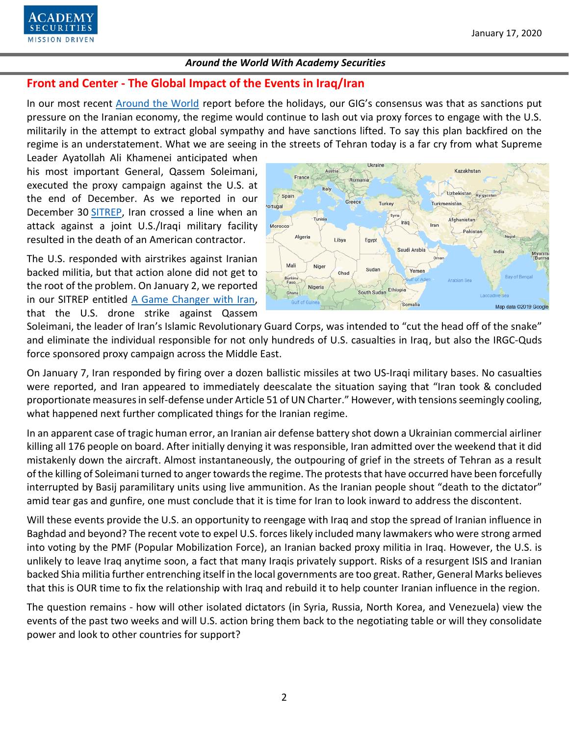

# **Front and Center - The Global Impact of the Events in Iraq/Iran**

In our most recent [Around the World](https://www.academysecurities.com/wordpress/wp-content/uploads/2019/12/Around-the-World-with-Academy-Securities-12-20-19.pdf) report before the holidays, our GIG's consensus was that as sanctions put pressure on the Iranian economy, the regime would continue to lash out via proxy forces to engage with the U.S. militarily in the attempt to extract global sympathy and have sanctions lifted. To say this plan backfired on the regime is an understatement. What we are seeing in the streets of Tehran today is a far cry from what Supreme

Leader Ayatollah Ali Khamenei anticipated when his most important General, Qassem Soleimani, executed the proxy campaign against the U.S. at the end of December. As we reported in our December 30 [SITREP,](https://www.academysecurities.com/u-s-airstrikes-and-iranian-influence-in-iraq/) Iran crossed a line when an attack against a joint U.S./Iraqi military facility resulted in the death of an American contractor.

The U.S. responded with airstrikes against Iranian backed militia, but that action alone did not get to the root of the problem. On January 2, we reported in our SITREP entitled [A Game Changer with Iran,](https://www.academysecurities.com/a-game-changer-with-iran/) that the U.S. drone strike against Qassem



Soleimani, the leader of Iran's Islamic Revolutionary Guard Corps, was intended to "cut the head off of the snake" and eliminate the individual responsible for not only hundreds of U.S. casualties in Iraq, but also the IRGC-Quds force sponsored proxy campaign across the Middle East.

On January 7, Iran responded by firing over a dozen ballistic missiles at two US-Iraqi military bases. No casualties were reported, and Iran appeared to immediately deescalate the situation saying that "Iran took & concluded proportionate measures in self-defense under Article 51 of UN Charter." However, with tensions seemingly cooling, what happened next further complicated things for the Iranian regime.

In an apparent case of tragic human error, an Iranian air defense battery shot down a Ukrainian commercial airliner killing all 176 people on board. After initially denying it was responsible, Iran admitted over the weekend that it did mistakenly down the aircraft. Almost instantaneously, the outpouring of grief in the streets of Tehran as a result of the killing of Soleimani turned to anger towards the regime. The protests that have occurred have been forcefully interrupted by Basij paramilitary units using live ammunition. As the Iranian people shout "death to the dictator" amid tear gas and gunfire, one must conclude that it is time for Iran to look inward to address the discontent.

Will these events provide the U.S. an opportunity to reengage with Iraq and stop the spread of Iranian influence in Baghdad and beyond? The recent vote to expel U.S. forces likely included many lawmakers who were strong armed into voting by the PMF (Popular Mobilization Force), an Iranian backed proxy militia in Iraq. However, the U.S. is unlikely to leave Iraq anytime soon, a fact that many Iraqis privately support. Risks of a resurgent ISIS and Iranian backed Shia militia further entrenching itself in the local governments are too great. Rather, General Marks believes that this is OUR time to fix the relationship with Iraq and rebuild it to help counter Iranian influence in the region.

The question remains - how will other isolated dictators (in Syria, Russia, North Korea, and Venezuela) view the events of the past two weeks and will U.S. action bring them back to the negotiating table or will they consolidate power and look to other countries for support?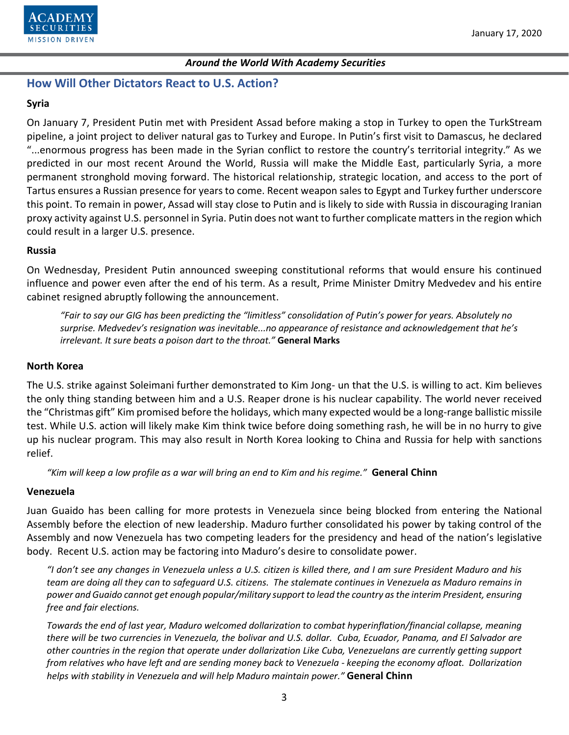

## **How Will Other Dictators React to U.S. Action?**

### **Syria**

On January 7, President Putin met with President Assad before making a stop in Turkey to open the TurkStream pipeline, a joint project to deliver natural gas to Turkey and Europe. In Putin's first visit to Damascus, he declared "...enormous progress has been made in the Syrian conflict to restore the country's territorial integrity." As we predicted in our most recent Around the World, Russia will make the Middle East, particularly Syria, a more permanent stronghold moving forward. The historical relationship, strategic location, and access to the port of Tartus ensures a Russian presence for years to come. Recent weapon sales to Egypt and Turkey further underscore this point. To remain in power, Assad will stay close to Putin and is likely to side with Russia in discouraging Iranian proxy activity against U.S. personnel in Syria. Putin does not want to further complicate matters in the region which could result in a larger U.S. presence.

#### **Russia**

On Wednesday, President Putin announced sweeping constitutional reforms that would ensure his continued influence and power even after the end of his term. As a result, Prime Minister Dmitry Medvedev and his entire cabinet resigned abruptly following the announcement.

*"Fair to say our GIG has been predicting the "limitless" consolidation of Putin's power for years. Absolutely no surprise. Medvedev's resignation was inevitable...no appearance of resistance and acknowledgement that he's irrelevant. It sure beats a poison dart to the throat."* **General Marks**

#### **North Korea**

The U.S. strike against Soleimani further demonstrated to Kim Jong- un that the U.S. is willing to act. Kim believes the only thing standing between him and a U.S. Reaper drone is his nuclear capability. The world never received the "Christmas gift" Kim promised before the holidays, which many expected would be a long-range ballistic missile test. While U.S. action will likely make Kim think twice before doing something rash, he will be in no hurry to give up his nuclear program. This may also result in North Korea looking to China and Russia for help with sanctions relief.

*"Kim will keep a low profile as a war will bring an end to Kim and his regime."* **General Chinn**

#### **Venezuela**

Juan Guaido has been calling for more protests in Venezuela since being blocked from entering the National Assembly before the election of new leadership. Maduro further consolidated his power by taking control of the Assembly and now Venezuela has two competing leaders for the presidency and head of the nation's legislative body. Recent U.S. action may be factoring into Maduro's desire to consolidate power.

*"I don't see any changes in Venezuela unless a U.S. citizen is killed there, and I am sure President Maduro and his team are doing all they can to safeguard U.S. citizens. The stalemate continues in Venezuela as Maduro remains in power and Guaido cannot get enough popular/military support to lead the country as the interim President, ensuring free and fair elections.*

*Towards the end of last year, Maduro welcomed dollarization to combat hyperinflation/financial collapse, meaning there will be two currencies in Venezuela, the bolivar and U.S. dollar. Cuba, Ecuador, Panama, and El Salvador are other countries in the region that operate under dollarization Like Cuba, Venezuelans are currently getting support from relatives who have left and are sending money back to Venezuela - keeping the economy afloat. Dollarization helps with stability in Venezuela and will help Maduro maintain power."* **General Chinn**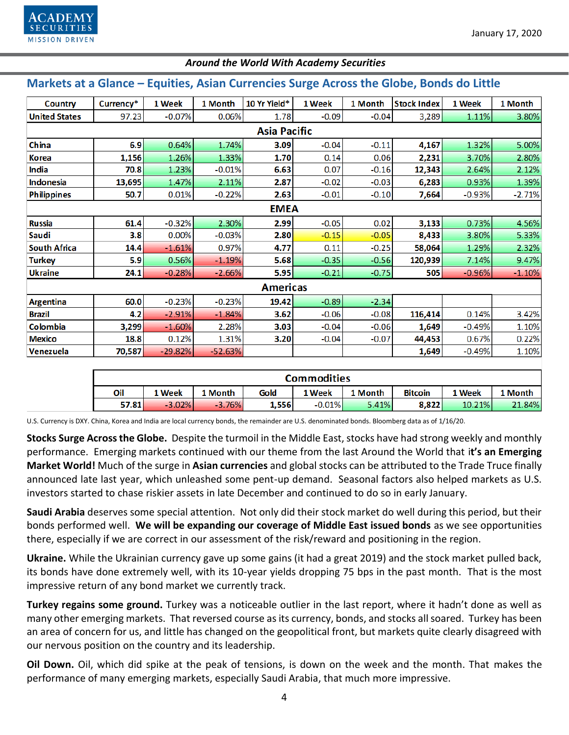

| Markets at a Glance - Equities, Asian Currencies Surge Across the Globe, Bonds do Little |           |           |           |              |         |         |                    |          |          |  |  |  |
|------------------------------------------------------------------------------------------|-----------|-----------|-----------|--------------|---------|---------|--------------------|----------|----------|--|--|--|
| <b>Country</b>                                                                           | Currency* | 1 Week    | 1 Month   | 10 Yr Yield* | 1 Week  | 1 Month | <b>Stock Index</b> | 1 Week   | 1 Month  |  |  |  |
| <b>United States</b>                                                                     | 97.23     | $-0.07%$  | 0.06%     | 1.78         | $-0.09$ | $-0.04$ | 3,289              | 1.11%    | 3.80%    |  |  |  |
| <b>Asia Pacific</b>                                                                      |           |           |           |              |         |         |                    |          |          |  |  |  |
| China                                                                                    | 6.9       | 0.64%     | 1.74%     | 3.09         | $-0.04$ | $-0.11$ | 4,167              | 1.32%    | 5.00%    |  |  |  |
| <b>Korea</b>                                                                             | 1,156     | 1.26%     | 1.33%     | 1.70         | 0.14    | 0.06    | 2,231              | 3.70%    | 2.80%    |  |  |  |
| India                                                                                    | 70.8      | 1.23%     | $-0.01%$  | 6.63         | 0.07    | $-0.16$ | 12,343             | 2.64%    | 2.12%    |  |  |  |
| Indonesia                                                                                | 13,695    | 1.47%     | 2.11%     | 2.87         | $-0.02$ | $-0.03$ | 6,283              | 0.93%    | 1.39%    |  |  |  |
| Philippines                                                                              | 50.7      | 0.01%     | $-0.22%$  | 2.63         | $-0.01$ | $-0.10$ | 7,664              | $-0.93%$ | $-2.71%$ |  |  |  |
| <b>EMEA</b>                                                                              |           |           |           |              |         |         |                    |          |          |  |  |  |
| <b>Russia</b>                                                                            | 61.4      | $-0.32%$  | 2.30%     | 2.99         | $-0.05$ | 0.02    | 3,133              | 0.73%    | 4.56%    |  |  |  |
| Saudi                                                                                    | 3.8       | 0.00%     | $-0.03%$  | 2.80         | $-0.15$ | $-0.05$ | 8,433              | 3.80%    | 5.33%    |  |  |  |
| <b>South Africa</b>                                                                      | 14.4      | $-1.61%$  | 0.97%     | 4.77         | 0.11    | $-0.25$ | 58,064             | 1.29%    | 2.32%    |  |  |  |
| <b>Turkey</b>                                                                            | 5.9       | 0.56%     | $-1.19%$  | 5.68         | $-0.35$ | $-0.56$ | 120,939            | 7.14%    | 9.47%    |  |  |  |
| <b>Ukraine</b>                                                                           | 24.1      | $-0.28%$  | $-2.66%$  | 5.95         | $-0.21$ | $-0.75$ | 505                | $-0.96%$ | $-1.10%$ |  |  |  |
| <b>Americas</b>                                                                          |           |           |           |              |         |         |                    |          |          |  |  |  |
| Argentina                                                                                | 60.0      | $-0.23%$  | $-0.23%$  | 19.42        | $-0.89$ | $-2.34$ |                    |          |          |  |  |  |
| <b>Brazil</b>                                                                            | 4.2       | $-2.91%$  | $-1.84%$  | 3.62         | $-0.06$ | $-0.08$ | 116,414            | 0.14%    | 3.42%    |  |  |  |
| <b>Colombia</b>                                                                          | 3,299     | $-1.60%$  | 2.28%     | 3.03         | $-0.04$ | $-0.06$ | 1,649              | $-0.49%$ | 1.10%    |  |  |  |
| <b>Mexico</b>                                                                            | 18.8      | 0.12%     | 1.31%     | 3.20         | $-0.04$ | $-0.07$ | 44,453             | 0.67%    | 0.22%    |  |  |  |
| Venezuela                                                                                | 70,587    | $-29.82%$ | $-52.63%$ |              |         |         | 1,649              | $-0.49%$ | 1.10%    |  |  |  |

### **Commodities** Oil 1 Week 1 Month 1 Week 1 Month 1 Week 1 Month Gold **Bitcoin**

| U.S. Currency is DXY. China, Korea and India are local currency bonds, the remainder are U.S. denominated bonds. Bloomberg data as of 1/16/20. |  |  |
|------------------------------------------------------------------------------------------------------------------------------------------------|--|--|
|                                                                                                                                                |  |  |

 $-3.76%$ 

57.81

 $-3.02%$ 

**Stocks Surge Across the Globe.** Despite the turmoil in the Middle East, stocks have had strong weekly and monthly performance. Emerging markets continued with our theme from the last Around the World that i**t's an Emerging Market World!** Much of the surge in **Asian currencies** and global stocks can be attributed to the Trade Truce finally announced late last year, which unleashed some pent-up demand. Seasonal factors also helped markets as U.S. investors started to chase riskier assets in late December and continued to do so in early January.

1,556

 $-0.01%$ 

5.41%

8,822

10.21%

21.84%

**Saudi Arabia** deserves some special attention. Not only did their stock market do well during this period, but their bonds performed well. **We will be expanding our coverage of Middle East issued bonds** as we see opportunities there, especially if we are correct in our assessment of the risk/reward and positioning in the region.

**Ukraine.** While the Ukrainian currency gave up some gains (it had a great 2019) and the stock market pulled back, its bonds have done extremely well, with its 10-year yields dropping 75 bps in the past month. That is the most impressive return of any bond market we currently track.

**Turkey regains some ground.** Turkey was a noticeable outlier in the last report, where it hadn't done as well as many other emerging markets. That reversed course as its currency, bonds, and stocks all soared. Turkey has been an area of concern for us, and little has changed on the geopolitical front, but markets quite clearly disagreed with our nervous position on the country and its leadership.

**Oil Down.** Oil, which did spike at the peak of tensions, is down on the week and the month. That makes the performance of many emerging markets, especially Saudi Arabia, that much more impressive.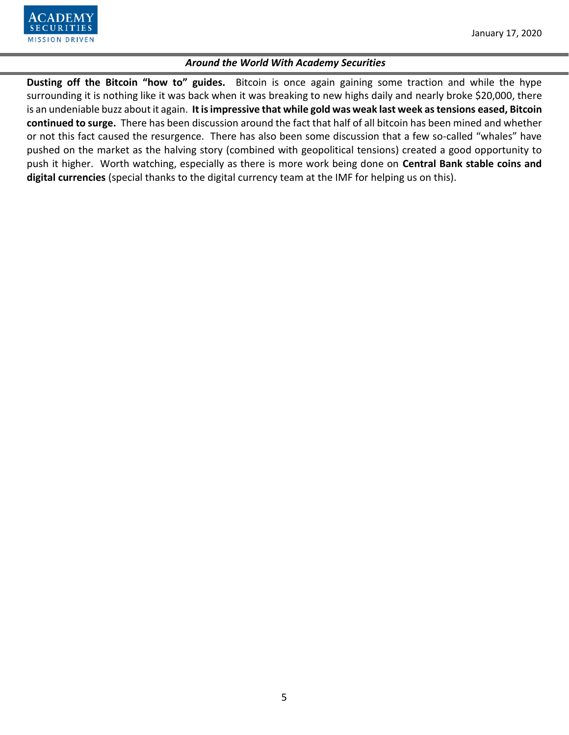**Dusting off the Bitcoin "how to" guides.** Bitcoin is once again gaining some traction and while the hype surrounding it is nothing like it was back when it was breaking to new highs daily and nearly broke \$20,000, there is an undeniable buzz about it again. **It is impressive that while gold was weak last week as tensions eased, Bitcoin continued to surge.** There has been discussion around the fact that half of all bitcoin has been mined and whether or not this fact caused the resurgence. There has also been some discussion that a few so-called "whales" have pushed on the market as the halving story (combined with geopolitical tensions) created a good opportunity to push it higher. Worth watching, especially as there is more work being done on **Central Bank stable coins and digital currencies** (special thanks to the digital currency team at the IMF for helping us on this).